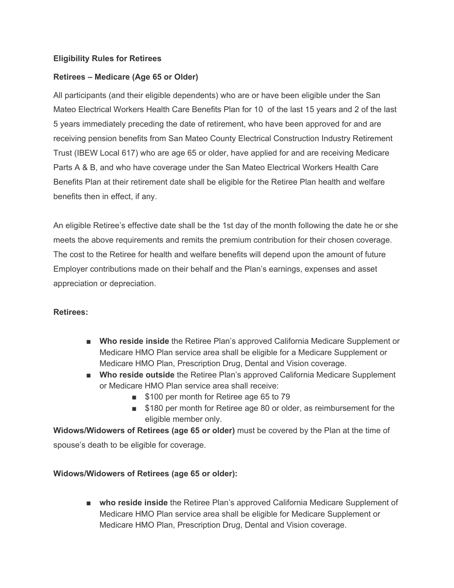## **Eligibility Rules for Retirees**

### **Retirees – Medicare (Age 65 or Older)**

All participants (and their eligible dependents) who are or have been eligible under the San Mateo Electrical Workers Health Care Benefits Plan for 10 of the last 15 years and 2 of the last 5 years immediately preceding the date of retirement, who have been approved for and are receiving pension benefits from San Mateo County Electrical Construction Industry Retirement Trust (IBEW Local 617) who are age 65 or older, have applied for and are receiving Medicare Parts A & B, and who have coverage under the San Mateo Electrical Workers Health Care Benefits Plan at their retirement date shall be eligible for the Retiree Plan health and welfare benefits then in effect, if any.

An eligible Retiree's effective date shall be the 1st day of the month following the date he or she meets the above requirements and remits the premium contribution for their chosen coverage. The cost to the Retiree for health and welfare benefits will depend upon the amount of future Employer contributions made on their behalf and the Plan's earnings, expenses and asset appreciation or depreciation.

#### **Retirees:**

- **Who reside inside** the Retiree Plan's approved California Medicare Supplement or Medicare HMO Plan service area shall be eligible for a Medicare Supplement or Medicare HMO Plan, Prescription Drug, Dental and Vision coverage.
- **Who reside outside** the Retiree Plan's approved California Medicare Supplement or Medicare HMO Plan service area shall receive:
	- \$100 per month for Retiree age 65 to 79
	- \$180 per month for Retiree age 80 or older, as reimbursement for the eligible member only.

**Widows/Widowers of Retirees (age 65 or older)** must be covered by the Plan at the time of spouse's death to be eligible for coverage.

#### **Widows/Widowers of Retirees (age 65 or older):**

■ **who reside inside** the Retiree Plan's approved California Medicare Supplement of Medicare HMO Plan service area shall be eligible for Medicare Supplement or Medicare HMO Plan, Prescription Drug, Dental and Vision coverage.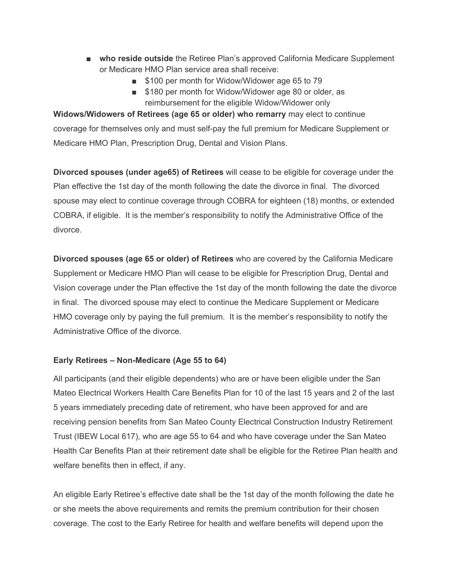- **who reside outside** the Retiree Plan's approved California Medicare Supplement or Medicare HMO Plan service area shall receive:
	- \$100 per month for Widow/Widower age 65 to 79
	- \$180 per month for Widow/Widower age 80 or older, as reimbursement for the eligible Widow/Widower only

**Widows/Widowers of Retirees (age 65 or older) who remarry** may elect to continue coverage for themselves only and must self-pay the full premium for Medicare Supplement or Medicare HMO Plan, Prescription Drug, Dental and Vision Plans.

**Divorced spouses (under age65) of Retirees** will cease to be eligible for coverage under the Plan effective the 1st day of the month following the date the divorce in final. The divorced spouse may elect to continue coverage through COBRA for eighteen (18) months, or extended COBRA, if eligible. It is the member's responsibility to notify the Administrative Office of the divorce.

**Divorced spouses (age 65 or older) of Retirees** who are covered by the California Medicare Supplement or Medicare HMO Plan will cease to be eligible for Prescription Drug, Dental and Vision coverage under the Plan effective the 1st day of the month following the date the divorce in final. The divorced spouse may elect to continue the Medicare Supplement or Medicare HMO coverage only by paying the full premium. It is the member's responsibility to notify the Administrative Office of the divorce.

#### **Early Retirees – Non-Medicare (Age 55 to 64)**

All participants (and their eligible dependents) who are or have been eligible under the San Mateo Electrical Workers Health Care Benefits Plan for 10 of the last 15 years and 2 of the last 5 years immediately preceding date of retirement, who have been approved for and are receiving pension benefits from San Mateo County Electrical Construction Industry Retirement Trust (IBEW Local 617), who are age 55 to 64 and who have coverage under the San Mateo Health Car Benefits Plan at their retirement date shall be eligible for the Retiree Plan health and welfare benefits then in effect, if any.

An eligible Early Retiree's effective date shall be the 1st day of the month following the date he or she meets the above requirements and remits the premium contribution for their chosen coverage. The cost to the Early Retiree for health and welfare benefits will depend upon the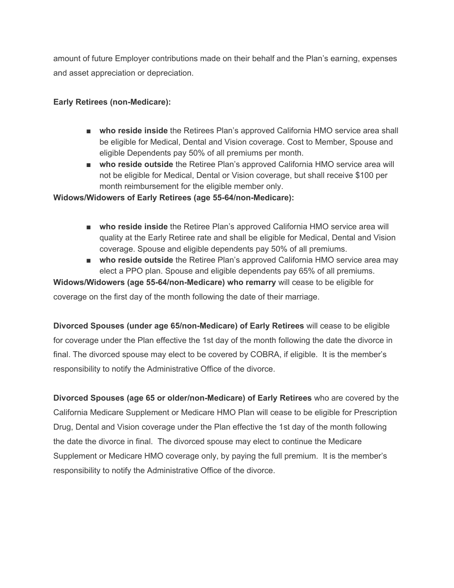amount of future Employer contributions made on their behalf and the Plan's earning, expenses and asset appreciation or depreciation.

# **Early Retirees (non-Medicare):**

- **who reside inside** the Retirees Plan's approved California HMO service area shall be eligible for Medical, Dental and Vision coverage. Cost to Member, Spouse and eligible Dependents pay 50% of all premiums per month.
- **who reside outside** the Retiree Plan's approved California HMO service area will not be eligible for Medical, Dental or Vision coverage, but shall receive \$100 per month reimbursement for the eligible member only.

## **Widows/Widowers of Early Retirees (age 55-64/non-Medicare):**

- **who reside inside** the Retiree Plan's approved California HMO service area will quality at the Early Retiree rate and shall be eligible for Medical, Dental and Vision coverage. Spouse and eligible dependents pay 50% of all premiums.
- **who reside outside** the Retiree Plan's approved California HMO service area may elect a PPO plan. Spouse and eligible dependents pay 65% of all premiums.

**Widows/Widowers (age 55-64/non-Medicare) who remarry** will cease to be eligible for

coverage on the first day of the month following the date of their marriage.

**Divorced Spouses (under age 65/non-Medicare) of Early Retirees** will cease to be eligible for coverage under the Plan effective the 1st day of the month following the date the divorce in final. The divorced spouse may elect to be covered by COBRA, if eligible. It is the member's responsibility to notify the Administrative Office of the divorce.

**Divorced Spouses (age 65 or older/non-Medicare) of Early Retirees** who are covered by the California Medicare Supplement or Medicare HMO Plan will cease to be eligible for Prescription Drug, Dental and Vision coverage under the Plan effective the 1st day of the month following the date the divorce in final. The divorced spouse may elect to continue the Medicare Supplement or Medicare HMO coverage only, by paying the full premium. It is the member's responsibility to notify the Administrative Office of the divorce.